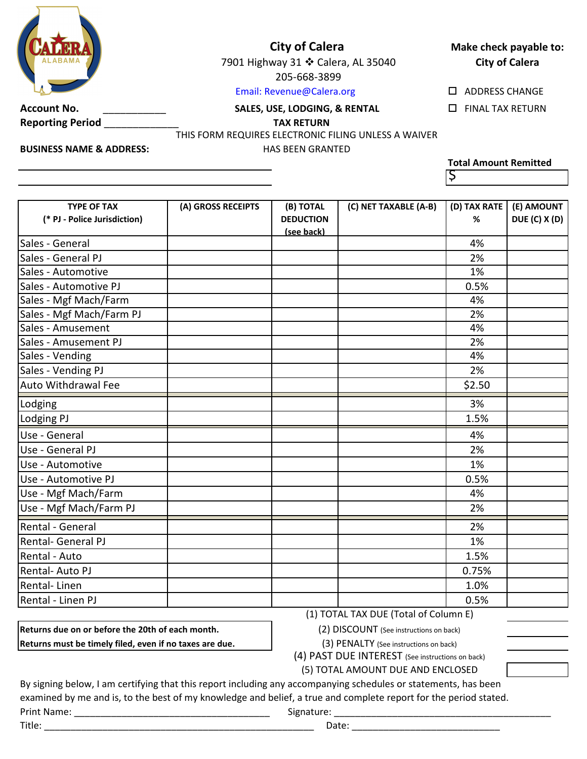

## **City of Calera**

7901 Highway 31 ❖ Calera, AL 35040 205-668-3899

#### Email: Revenue@Calera.org

**Account No.** \_\_\_\_\_\_\_\_\_\_\_ FINAL TAX RETURN **SALES, USE, LODGING, & RENTAL**

**Reporting Period** \_\_\_\_\_\_\_\_\_\_\_\_\_ **TAX RETURN**

HAS BEEN GRANTED

THIS FORM REQUIRES ELECTRONIC FILING UNLESS A WAIVER

**BUSINESS NAME & ADDRESS:**

# **Total Amount Remitted**

ADDRESS CHANGE

**Make check payable to: City of Calera**

 $\varsigma$ 

| <b>TYPE OF TAX</b><br>(* PJ - Police Jurisdiction) | (A) GROSS RECEIPTS | (B) TOTAL<br><b>DEDUCTION</b><br>(see back) | (C) NET TAXABLE (A-B) | (D) TAX RATE<br>% | (E) AMOUNT<br><b>DUE (C) X (D)</b> |
|----------------------------------------------------|--------------------|---------------------------------------------|-----------------------|-------------------|------------------------------------|
| Sales - General                                    |                    |                                             |                       | 4%                |                                    |
| Sales - General PJ                                 |                    |                                             |                       | 2%                |                                    |
| Sales - Automotive                                 |                    |                                             |                       | 1%                |                                    |
| Sales - Automotive PJ                              |                    |                                             |                       | 0.5%              |                                    |
| Sales - Mgf Mach/Farm                              |                    |                                             |                       | 4%                |                                    |
| Sales - Mgf Mach/Farm PJ                           |                    |                                             |                       | 2%                |                                    |
| Sales - Amusement                                  |                    |                                             |                       | 4%                |                                    |
| Sales - Amusement PJ                               |                    |                                             |                       | 2%                |                                    |
| Sales - Vending                                    |                    |                                             |                       | 4%                |                                    |
| Sales - Vending PJ                                 |                    |                                             |                       | 2%                |                                    |
| <b>Auto Withdrawal Fee</b>                         |                    |                                             |                       | \$2.50            |                                    |
| Lodging                                            |                    |                                             |                       | 3%                |                                    |
| Lodging PJ                                         |                    |                                             |                       | 1.5%              |                                    |
| Use - General                                      |                    |                                             |                       | 4%                |                                    |
| Use - General PJ                                   |                    |                                             |                       | 2%                |                                    |
| Use - Automotive                                   |                    |                                             |                       | 1%                |                                    |
| Use - Automotive PJ                                |                    |                                             |                       | 0.5%              |                                    |
| Use - Mgf Mach/Farm                                |                    |                                             |                       | 4%                |                                    |
| Use - Mgf Mach/Farm PJ                             |                    |                                             |                       | 2%                |                                    |
| Rental - General                                   |                    |                                             |                       | 2%                |                                    |
| Rental- General PJ                                 |                    |                                             |                       | 1%                |                                    |
| Rental - Auto                                      |                    |                                             |                       | 1.5%              |                                    |
| <b>Rental-Auto PJ</b>                              |                    |                                             |                       | 0.75%             |                                    |
| Rental-Linen                                       |                    |                                             |                       | 1.0%              |                                    |
| Rental - Linen PJ                                  |                    |                                             |                       | 0.5%              |                                    |

**Returns due on or before the 20th of each month. Returns must be timely filed, even if no taxes are due.**  (1) TOTAL TAX DUE (Total of Column E)

(2) DISCOUNT (See instructions on back)

(3) PENALTY (See instructions on back)

(4) PAST DUE INTEREST (See instructions on back)

(5) TOTAL AMOUNT DUE AND ENCLOSED

By signing below, I am certifying that this report including any accompanying schedules or statements, has been examined by me and is, to the best of my knowledge and belief, a true and complete report for the period stated. Print Name: \_\_\_\_\_\_\_\_\_\_\_\_\_\_\_\_\_\_\_\_\_\_\_\_\_\_\_\_\_\_\_\_\_\_\_\_\_ Signature: \_\_\_\_\_\_\_\_\_\_\_\_\_\_\_\_\_\_\_\_\_\_\_\_\_\_\_\_\_\_\_\_\_\_\_\_\_\_\_\_\_

Title: \_\_\_\_\_\_\_\_\_\_\_\_\_\_\_\_\_\_\_\_\_\_\_\_\_\_\_\_\_\_\_\_\_\_\_\_\_\_\_\_\_\_\_\_\_\_\_\_\_\_\_ Date: \_\_\_\_\_\_\_\_\_\_\_\_\_\_\_\_\_\_\_\_\_\_\_\_\_\_\_\_